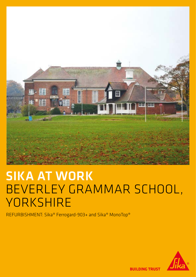

## SIKA AT WORK BEVERLEY GRAMMAR SCHOOL, **YORKSHIRE**

REFURBISHMENT: Sika® Ferrogard-903+ and Sika® MonoTop®



**BUILDING TRUST**